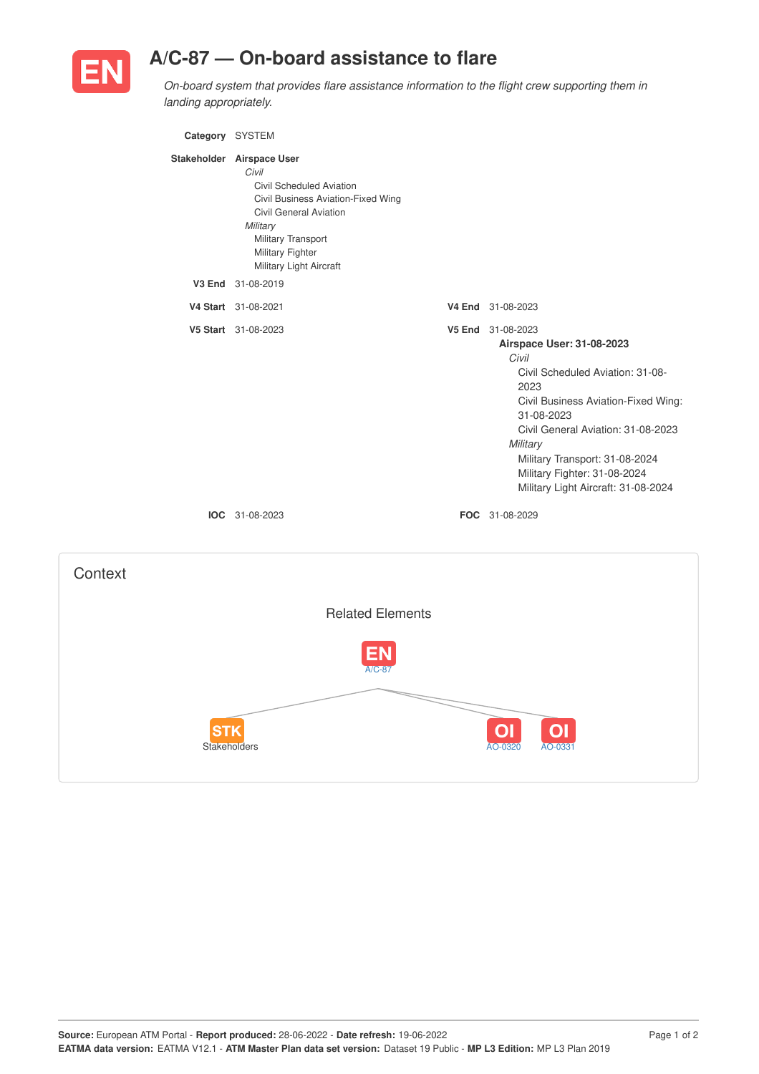

## **A/C-87 — On-board assistance to flare**

*On-board system that provides flare assistance information to the flight crew supporting them in landing appropriately.*

| Category SYSTEM |                                                                                                                                                                                                                        |                                                                                                                                                                                                                                                                                                                     |
|-----------------|------------------------------------------------------------------------------------------------------------------------------------------------------------------------------------------------------------------------|---------------------------------------------------------------------------------------------------------------------------------------------------------------------------------------------------------------------------------------------------------------------------------------------------------------------|
|                 | Stakeholder Airspace User<br>Civil<br>Civil Scheduled Aviation<br>Civil Business Aviation-Fixed Wing<br><b>Civil General Aviation</b><br>Military<br>Military Transport<br>Military Fighter<br>Military Light Aircraft |                                                                                                                                                                                                                                                                                                                     |
|                 | V3 End 31-08-2019                                                                                                                                                                                                      |                                                                                                                                                                                                                                                                                                                     |
|                 | V4 Start 31-08-2021                                                                                                                                                                                                    | V4 End 31-08-2023                                                                                                                                                                                                                                                                                                   |
|                 | V5 Start 31-08-2023                                                                                                                                                                                                    | V5 End 31-08-2023<br>Airspace User: 31-08-2023<br>Civil<br>Civil Scheduled Aviation: 31-08-<br>2023<br>Civil Business Aviation-Fixed Wing:<br>31-08-2023<br>Civil General Aviation: 31-08-2023<br>Military<br>Military Transport: 31-08-2024<br>Military Fighter: 31-08-2024<br>Military Light Aircraft: 31-08-2024 |
|                 | IOC 31-08-2023                                                                                                                                                                                                         | FOC 31-08-2029                                                                                                                                                                                                                                                                                                      |
|                 |                                                                                                                                                                                                                        |                                                                                                                                                                                                                                                                                                                     |